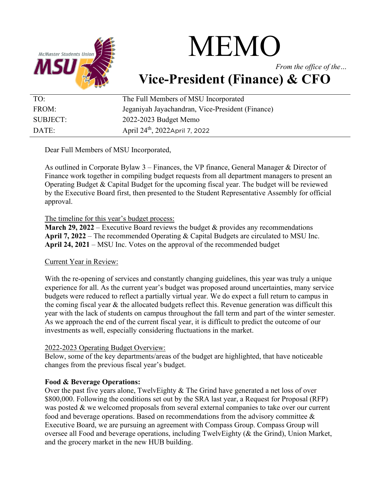

# MEMO

*From the office of the…*

# **Vice-President (Finance) & CFO**

| TO:      | The Full Members of MSU Incorporated             |
|----------|--------------------------------------------------|
| FROM:    | Jeganiyah Jayachandran, Vice-President (Finance) |
| SUBJECT: | 2022-2023 Budget Memo                            |
| DATE:    | April 24 <sup>th</sup> , 2022April 7, 2022       |

Dear Full Members of MSU Incorporated,

As outlined in Corporate Bylaw 3 – Finances, the VP finance, General Manager & Director of Finance work together in compiling budget requests from all department managers to present an Operating Budget & Capital Budget for the upcoming fiscal year. The budget will be reviewed by the Executive Board first, then presented to the Student Representative Assembly for official approval.

The timeline for this year's budget process:

**March 29, 2022** – Executive Board reviews the budget & provides any recommendations **April 7, 2022** – The recommended Operating & Capital Budgets are circulated to MSU Inc. **April 24, 2021** – MSU Inc. Votes on the approval of the recommended budget

# Current Year in Review:

With the re-opening of services and constantly changing guidelines, this year was truly a unique experience for all. As the current year's budget was proposed around uncertainties, many service budgets were reduced to reflect a partially virtual year. We do expect a full return to campus in the coming fiscal year & the allocated budgets reflect this. Revenue generation was difficult this year with the lack of students on campus throughout the fall term and part of the winter semester. As we approach the end of the current fiscal year, it is difficult to predict the outcome of our investments as well, especially considering fluctuations in the market.

# 2022-2023 Operating Budget Overview:

Below, some of the key departments/areas of the budget are highlighted, that have noticeable changes from the previous fiscal year's budget.

# **Food & Beverage Operations:**

Over the past five years alone, TwelvEighty & The Grind have generated a net loss of over \$800,000. Following the conditions set out by the SRA last year, a Request for Proposal (RFP) was posted & we welcomed proposals from several external companies to take over our current food and beverage operations. Based on recommendations from the advisory committee & Executive Board, we are pursuing an agreement with Compass Group. Compass Group will oversee all Food and beverage operations, including TwelvEighty (& the Grind), Union Market, and the grocery market in the new HUB building.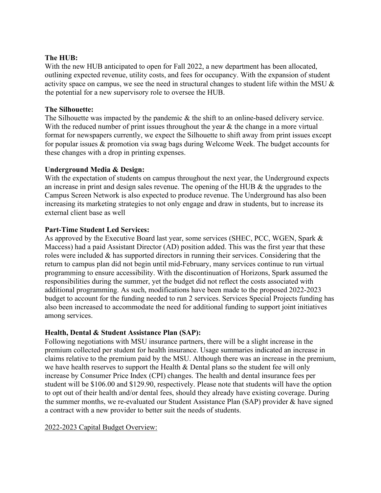#### **The HUB:**

With the new HUB anticipated to open for Fall 2022, a new department has been allocated, outlining expected revenue, utility costs, and fees for occupancy. With the expansion of student activity space on campus, we see the need in structural changes to student life within the MSU & the potential for a new supervisory role to oversee the HUB.

#### **The Silhouette:**

The Silhouette was impacted by the pandemic & the shift to an online-based delivery service. With the reduced number of print issues throughout the year  $\&$  the change in a more virtual format for newspapers currently, we expect the Silhouette to shift away from print issues except for popular issues & promotion via swag bags during Welcome Week. The budget accounts for these changes with a drop in printing expenses.

#### **Underground Media & Design:**

With the expectation of students on campus throughout the next year, the Underground expects an increase in print and design sales revenue. The opening of the HUB & the upgrades to the Campus Screen Network is also expected to produce revenue. The Underground has also been increasing its marketing strategies to not only engage and draw in students, but to increase its external client base as well

#### **Part-Time Student Led Services:**

As approved by the Executive Board last year, some services (SHEC, PCC, WGEN, Spark & Maccess) had a paid Assistant Director (AD) position added. This was the first year that these roles were included & has supported directors in running their services. Considering that the return to campus plan did not begin until mid-February, many services continue to run virtual programming to ensure accessibility. With the discontinuation of Horizons, Spark assumed the responsibilities during the summer, yet the budget did not reflect the costs associated with additional programming. As such, modifications have been made to the proposed 2022-2023 budget to account for the funding needed to run 2 services. Services Special Projects funding has also been increased to accommodate the need for additional funding to support joint initiatives among services.

#### **Health, Dental & Student Assistance Plan (SAP):**

Following negotiations with MSU insurance partners, there will be a slight increase in the premium collected per student for health insurance. Usage summaries indicated an increase in claims relative to the premium paid by the MSU. Although there was an increase in the premium, we have health reserves to support the Health & Dental plans so the student fee will only increase by Consumer Price Index (CPI) changes. The health and dental insurance fees per student will be \$106.00 and \$129.90, respectively. Please note that students will have the option to opt out of their health and/or dental fees, should they already have existing coverage. During the summer months, we re-evaluated our Student Assistance Plan (SAP) provider & have signed a contract with a new provider to better suit the needs of students.

#### 2022-2023 Capital Budget Overview: